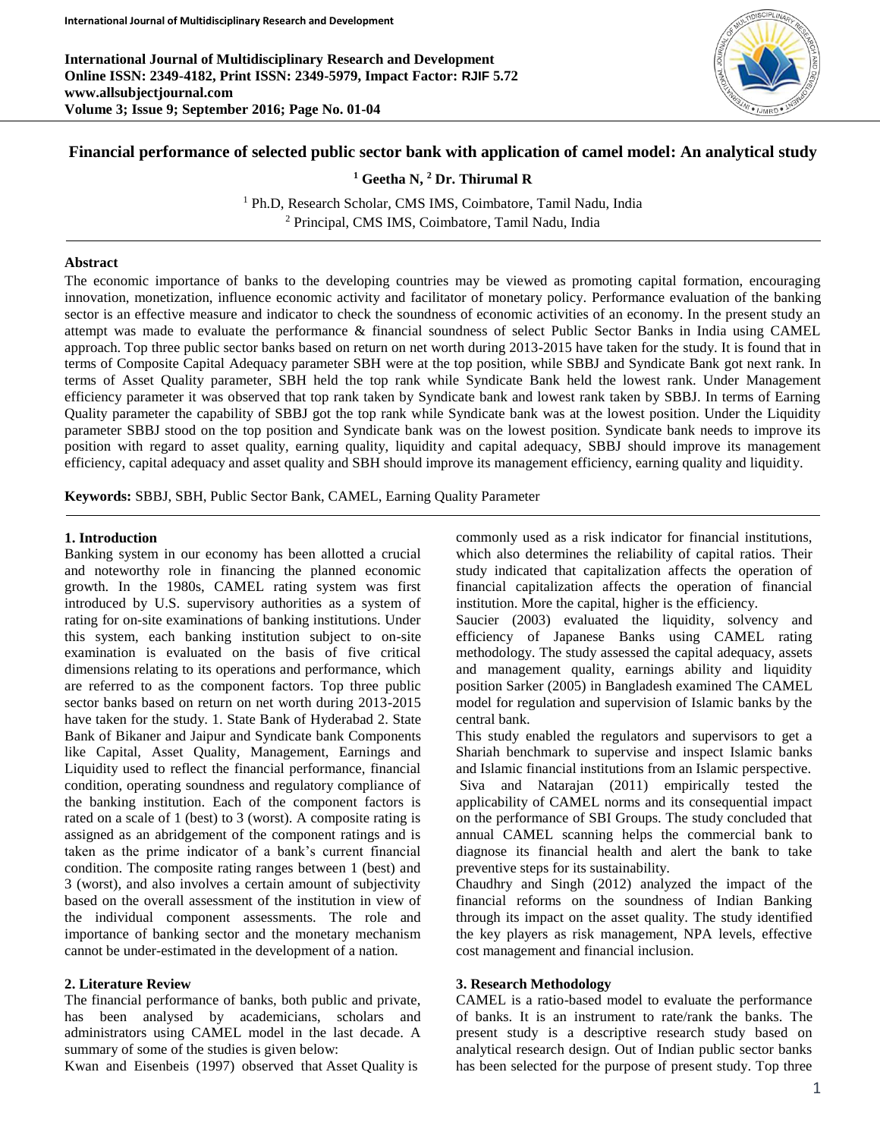**International Journal of Multidisciplinary Research and Development Online ISSN: 2349-4182, Print ISSN: 2349-5979, Impact Factor: RJIF 5.72 www.allsubjectjournal.com Volume 3; Issue 9; September 2016; Page No. 01-04**



# **Financial performance of selected public sector bank with application of camel model: An analytical study**

**<sup>1</sup> Geetha N, <sup>2</sup> Dr. Thirumal R**

<sup>1</sup> Ph.D, Research Scholar, CMS IMS, Coimbatore, Tamil Nadu, India <sup>2</sup> Principal, CMS IMS, Coimbatore, Tamil Nadu, India

## **Abstract**

The economic importance of banks to the developing countries may be viewed as promoting capital formation, encouraging innovation, monetization, influence economic activity and facilitator of monetary policy. Performance evaluation of the banking sector is an effective measure and indicator to check the soundness of economic activities of an economy. In the present study an attempt was made to evaluate the performance & financial soundness of select Public Sector Banks in India using CAMEL approach. Top three public sector banks based on return on net worth during 2013-2015 have taken for the study. It is found that in terms of Composite Capital Adequacy parameter SBH were at the top position, while SBBJ and Syndicate Bank got next rank. In terms of Asset Quality parameter, SBH held the top rank while Syndicate Bank held the lowest rank. Under Management efficiency parameter it was observed that top rank taken by Syndicate bank and lowest rank taken by SBBJ. In terms of Earning Quality parameter the capability of SBBJ got the top rank while Syndicate bank was at the lowest position. Under the Liquidity parameter SBBJ stood on the top position and Syndicate bank was on the lowest position. Syndicate bank needs to improve its position with regard to asset quality, earning quality, liquidity and capital adequacy, SBBJ should improve its management efficiency, capital adequacy and asset quality and SBH should improve its management efficiency, earning quality and liquidity.

**Keywords:** SBBJ, SBH, Public Sector Bank, CAMEL, Earning Quality Parameter

#### **1. Introduction**

Banking system in our economy has been allotted a crucial and noteworthy role in financing the planned economic growth. In the 1980s, CAMEL rating system was first introduced by U.S. supervisory authorities as a system of rating for on-site examinations of banking institutions. Under this system, each banking institution subject to on-site examination is evaluated on the basis of five critical dimensions relating to its operations and performance, which are referred to as the component factors. Top three public sector banks based on return on net worth during 2013-2015 have taken for the study. 1. State Bank of Hyderabad 2. State Bank of Bikaner and Jaipur and Syndicate bank Components like Capital, Asset Quality, Management, Earnings and Liquidity used to reflect the financial performance, financial condition, operating soundness and regulatory compliance of the banking institution. Each of the component factors is rated on a scale of 1 (best) to 3 (worst). A composite rating is assigned as an abridgement of the component ratings and is taken as the prime indicator of a bank's current financial condition. The composite rating ranges between 1 (best) and 3 (worst), and also involves a certain amount of subjectivity based on the overall assessment of the institution in view of the individual component assessments. The role and importance of banking sector and the monetary mechanism cannot be under-estimated in the development of a nation.

### **2. Literature Review**

The financial performance of banks, both public and private, has been analysed by academicians, scholars and administrators using CAMEL model in the last decade. A summary of some of the studies is given below:

Kwan and Eisenbeis (1997) observed that Asset Quality is

commonly used as a risk indicator for financial institutions, which also determines the reliability of capital ratios. Their study indicated that capitalization affects the operation of financial capitalization affects the operation of financial institution. More the capital, higher is the efficiency.

Saucier (2003) evaluated the liquidity, solvency and efficiency of Japanese Banks using CAMEL rating methodology. The study assessed the capital adequacy, assets and management quality, earnings ability and liquidity position Sarker (2005) in Bangladesh examined The CAMEL model for regulation and supervision of Islamic banks by the central bank.

This study enabled the regulators and supervisors to get a Shariah benchmark to supervise and inspect Islamic banks and Islamic financial institutions from an Islamic perspective. Siva and Natarajan (2011) empirically tested the applicability of CAMEL norms and its consequential impact on the performance of SBI Groups. The study concluded that annual CAMEL scanning helps the commercial bank to diagnose its financial health and alert the bank to take preventive steps for its sustainability.

Chaudhry and Singh (2012) analyzed the impact of the financial reforms on the soundness of Indian Banking through its impact on the asset quality. The study identified the key players as risk management, NPA levels, effective cost management and financial inclusion.

#### **3. Research Methodology**

CAMEL is a ratio-based model to evaluate the performance of banks. It is an instrument to rate/rank the banks. The present study is a descriptive research study based on analytical research design. Out of Indian public sector banks has been selected for the purpose of present study. Top three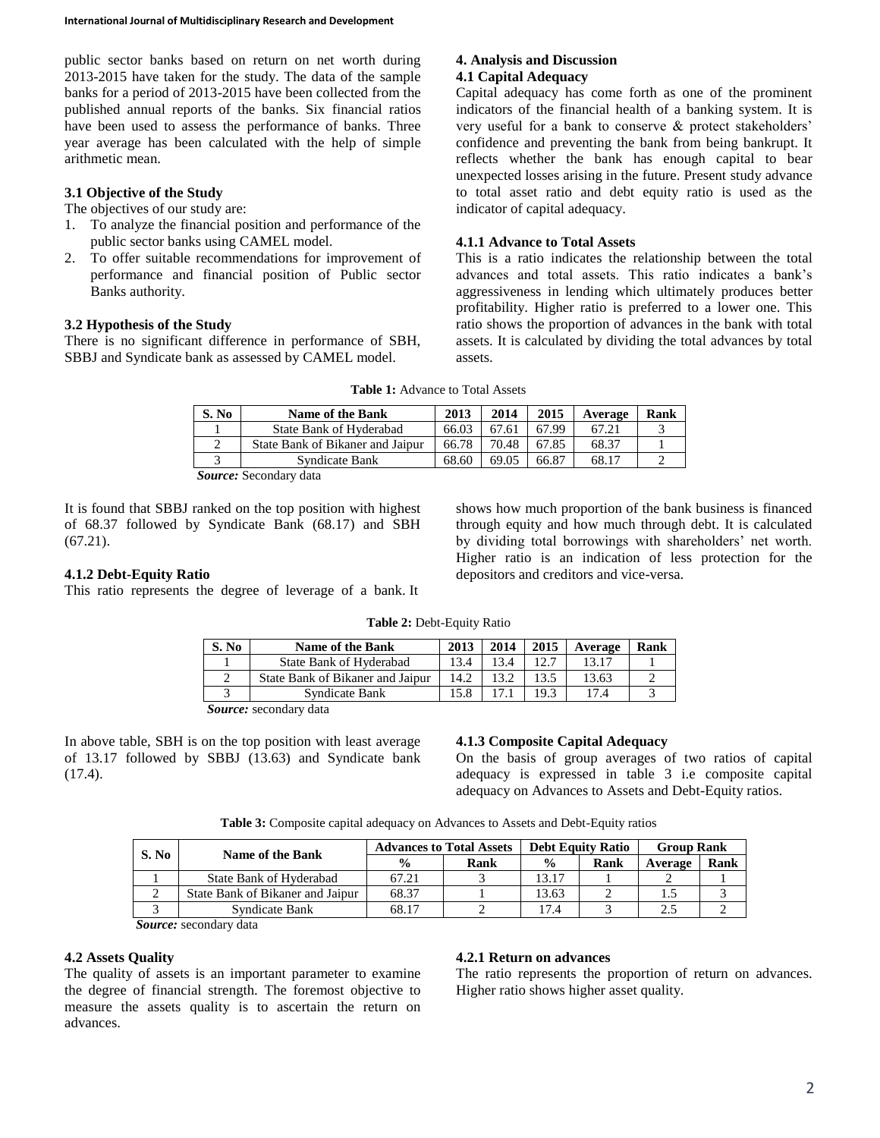public sector banks based on return on net worth during 2013-2015 have taken for the study. The data of the sample banks for a period of 2013-2015 have been collected from the published annual reports of the banks. Six financial ratios have been used to assess the performance of banks. Three year average has been calculated with the help of simple arithmetic mean.

## **3.1 Objective of the Study**

The objectives of our study are:

- 1. To analyze the financial position and performance of the public sector banks using CAMEL model.
- 2. To offer suitable recommendations for improvement of performance and financial position of Public sector Banks authority.

## **3.2 Hypothesis of the Study**

There is no significant difference in performance of SBH, SBBJ and Syndicate bank as assessed by CAMEL model.

#### **4. Analysis and Discussion 4.1 Capital Adequacy**

Capital adequacy has come forth as one of the prominent indicators of the financial health of a banking system. It is very useful for a bank to conserve & protect stakeholders' confidence and preventing the bank from being bankrupt. It reflects whether the bank has enough capital to bear unexpected losses arising in the future. Present study advance to total asset ratio and debt equity ratio is used as the indicator of capital adequacy.

#### **4.1.1 Advance to Total Assets**

This is a ratio indicates the relationship between the total advances and total assets. This ratio indicates a bank's aggressiveness in lending which ultimately produces better profitability. Higher ratio is preferred to a lower one. This ratio shows the proportion of advances in the bank with total assets. It is calculated by dividing the total advances by total assets.

| S. No | <b>Name of the Bank</b>          | 2013  | 2014  | 2015  | Average | Rank |
|-------|----------------------------------|-------|-------|-------|---------|------|
|       | State Bank of Hyderabad          | 66.03 | 67.61 | 67.99 | 67.21   |      |
|       | State Bank of Bikaner and Jaipur | 66.78 | 70.48 | 67.85 | 68.37   |      |
|       | Syndicate Bank                   | 68.60 | 69.05 | 66.87 | 68.17   |      |

**Table 1:** Advance to Total Assets

*Source:* Secondary data

It is found that SBBJ ranked on the top position with highest of 68.37 followed by Syndicate Bank (68.17) and SBH  $(67.21)$ .

#### **4.1.2 Debt-Equity Ratio**

This ratio represents the degree of leverage of a bank. It

shows how much proportion of the bank business is financed through equity and how much through debt. It is calculated by dividing total borrowings with shareholders' net worth. Higher ratio is an indication of less protection for the depositors and creditors and vice-versa.

| Table 2: Debt-Equity Ratio |  |  |  |
|----------------------------|--|--|--|
|----------------------------|--|--|--|

| S. No | Name of the Bank                 | 2013 | 2014 | 2015 | Average | Rank |
|-------|----------------------------------|------|------|------|---------|------|
|       | State Bank of Hyderabad          | 13.4 | 3.4  |      | 13.17   |      |
|       | State Bank of Bikaner and Jaipur | 14.2 |      | 13.5 | 13.63   |      |
|       | Syndicate Bank                   | 15.8 |      | 19.3 | 17.4    |      |

*Source:* secondary data

In above table, SBH is on the top position with least average of 13.17 followed by SBBJ (13.63) and Syndicate bank  $(17.4).$ 

## **4.1.3 Composite Capital Adequacy**

On the basis of group averages of two ratios of capital adequacy is expressed in table 3 i.e composite capital adequacy on Advances to Assets and Debt-Equity ratios.

**Table 3:** Composite capital adequacy on Advances to Assets and Debt-Equity ratios

| S. No | Name of the Bank                 | <b>Advances to Total Assets</b> |      |               | <b>Debt Equity Ratio</b> | <b>Group Rank</b> |      |
|-------|----------------------------------|---------------------------------|------|---------------|--------------------------|-------------------|------|
|       |                                  | $\frac{0}{0}$                   | Rank | $\frac{0}{0}$ | Rank                     | Average           | Rank |
|       | State Bank of Hyderabad          | 67.21                           |      | 13.17         |                          |                   |      |
|       | State Bank of Bikaner and Jaipur | 68.37                           |      | 13.63         |                          |                   |      |
|       | Syndicate Bank                   | 68.17                           |      | 17.4          |                          | ◠                 |      |

*Source:* secondary data

## **4.2 Assets Quality**

The quality of assets is an important parameter to examine the degree of financial strength. The foremost objective to measure the assets quality is to ascertain the return on advances.

#### **4.2.1 Return on advances**

The ratio represents the proportion of return on advances. Higher ratio shows higher asset quality.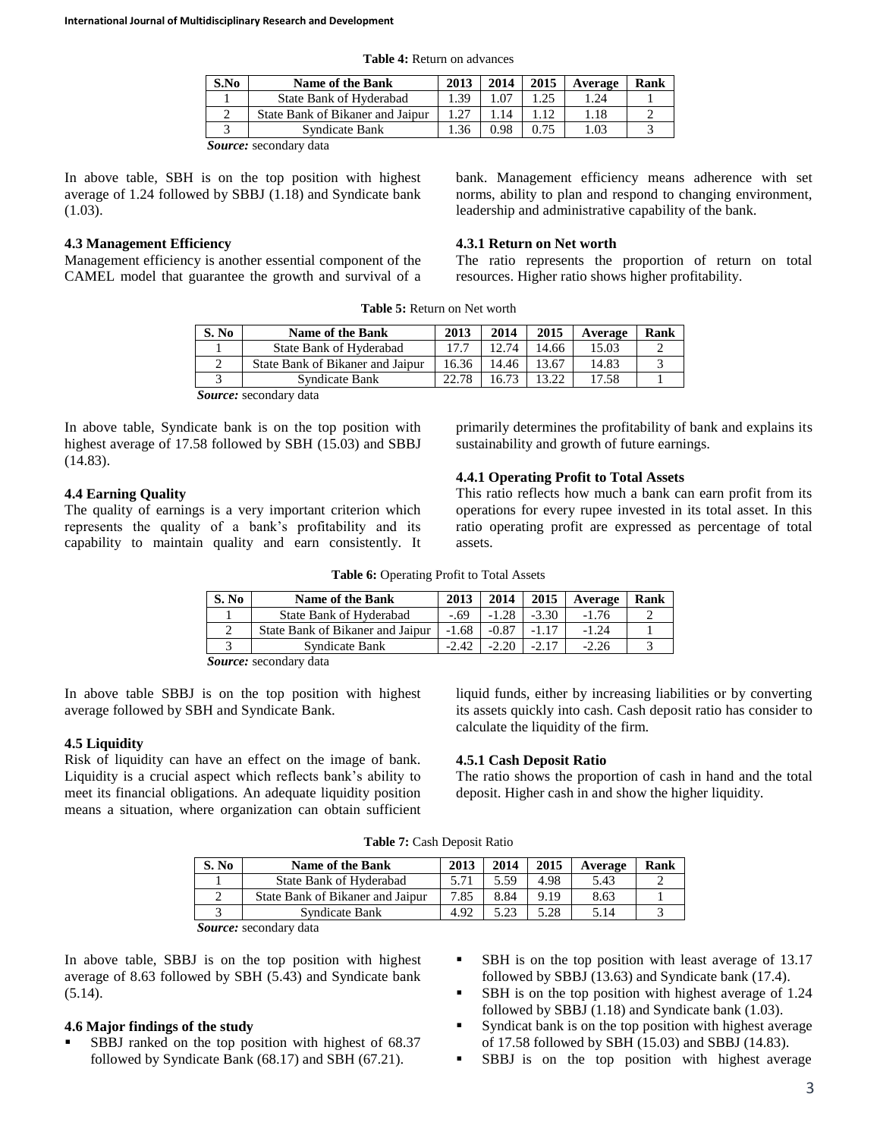| S.No | <b>Name of the Bank</b>          | 2013 | 2014 | 2015 | Average | Rank |
|------|----------------------------------|------|------|------|---------|------|
|      | State Bank of Hyderabad          | .39  |      | .25  | .24     |      |
|      | State Bank of Bikaner and Jaipur | .27  | 14   |      | .18     |      |
|      | Syndicate Bank                   | .36  | 0.98 |      | .03     |      |
|      |                                  |      |      |      |         |      |

**Table 4:** Return on advances

*Source:* secondary data

In above table, SBH is on the top position with highest average of 1.24 followed by SBBJ (1.18) and Syndicate bank  $(1.03)$ .

## **4.3 Management Efficiency**

Management efficiency is another essential component of the CAMEL model that guarantee the growth and survival of a bank. Management efficiency means adherence with set norms, ability to plan and respond to changing environment, leadership and administrative capability of the bank.

## **4.3.1 Return on Net worth**

The ratio represents the proportion of return on total resources. Higher ratio shows higher profitability.

| S. No | <b>Name of the Bank</b>          | 2013  | 2014  | 2015   | Average | Rank |
|-------|----------------------------------|-------|-------|--------|---------|------|
|       | State Bank of Hyderabad          | 17.7  | 12.74 | 14.66  | 15.03   |      |
|       | State Bank of Bikaner and Jaipur | 16.36 | 14.46 | 13.67  | 14.83   |      |
|       | Syndicate Bank                   | 22.78 | 16.73 | 13.22. | 17.58   |      |
|       | <b>Source:</b> secondary data    |       |       |        |         |      |

**Table 5:** Return on Net worth

In above table, Syndicate bank is on the top position with highest average of 17.58 followed by SBH (15.03) and SBBJ

## **4.4 Earning Quality**

(14.83).

The quality of earnings is a very important criterion which represents the quality of a bank's profitability and its capability to maintain quality and earn consistently. It primarily determines the profitability of bank and explains its sustainability and growth of future earnings.

### **4.4.1 Operating Profit to Total Assets**

This ratio reflects how much a bank can earn profit from its operations for every rupee invested in its total asset. In this ratio operating profit are expressed as percentage of total assets.

**Table 6:** Operating Profit to Total Assets

| S. No | <b>Name of the Bank</b>          | 2013    | 2014    | 2015    | Average | Rank |
|-------|----------------------------------|---------|---------|---------|---------|------|
|       | State Bank of Hyderabad          | - 69    | $-1.28$ | $-3.30$ | $-1.76$ |      |
|       | State Bank of Bikaner and Jaipur | $-1.68$ |         |         | $-1.24$ |      |
|       | Syndicate Bank                   | $-2.42$ | $-2.20$ |         | $-2.26$ |      |

*Source:* secondary data

In above table SBBJ is on the top position with highest average followed by SBH and Syndicate Bank.

## **4.5 Liquidity**

Risk of liquidity can have an effect on the image of bank. Liquidity is a crucial aspect which reflects bank's ability to meet its financial obligations. An adequate liquidity position means a situation, where organization can obtain sufficient

liquid funds, either by increasing liabilities or by converting its assets quickly into cash. Cash deposit ratio has consider to calculate the liquidity of the firm.

#### **4.5.1 Cash Deposit Ratio**

The ratio shows the proportion of cash in hand and the total deposit. Higher cash in and show the higher liquidity.

**Table 7:** Cash Deposit Ratio

| S. No | <b>Name of the Bank</b>          | 2013 | 2014 | 2015 | Average | Rank |
|-------|----------------------------------|------|------|------|---------|------|
|       | State Bank of Hyderabad          |      | 5.59 | 4.98 | 5.43    |      |
|       | State Bank of Bikaner and Jaipur | 7.85 | 8.84 | 9.19 | 8.63    |      |
|       | Syndicate Bank                   | 4.92 | 5.23 | 5.28 | 5.14    |      |

*Source:* secondary data

In above table, SBBJ is on the top position with highest average of 8.63 followed by SBH (5.43) and Syndicate bank  $(5.14)$ .

## **4.6 Major findings of the study**

- SBBJ ranked on the top position with highest of 68.37 followed by Syndicate Bank (68.17) and SBH (67.21).
- SBH is on the top position with least average of 13.17 followed by SBBJ (13.63) and Syndicate bank (17.4).
- SBH is on the top position with highest average of 1.24 followed by SBBJ (1.18) and Syndicate bank (1.03).
- Syndicat bank is on the top position with highest average of 17.58 followed by SBH (15.03) and SBBJ (14.83).
- SBBJ is on the top position with highest average